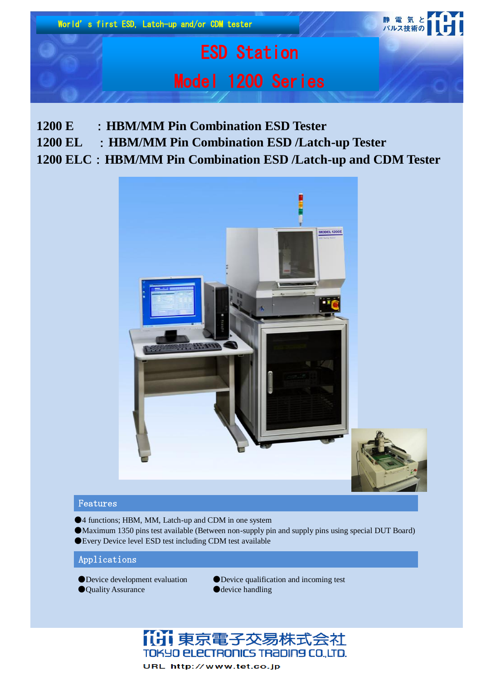

- **1200 E** :**HBM/MM Pin Combination ESD Tester**
- **1200 EL** :**HBM/MM Pin Combination ESD /Latch-up Tester**

# **1200 ELC**:**HBM/MM Pin Combination ESD /Latch-up and CDM Tester**



## Features

- ●4 functions; HBM, MM, Latch-up and CDM in one system
- ●Maximum 1350 pins test available (Between non-supply pin and supply pins using special DUT Board) ●Every Device level ESD test including CDM test available

## Applications

- 
- ●Quality Assurance ●device handling
- ●Device development evaluation ●Device qualification and incoming test



URL http://www.tet.co.jp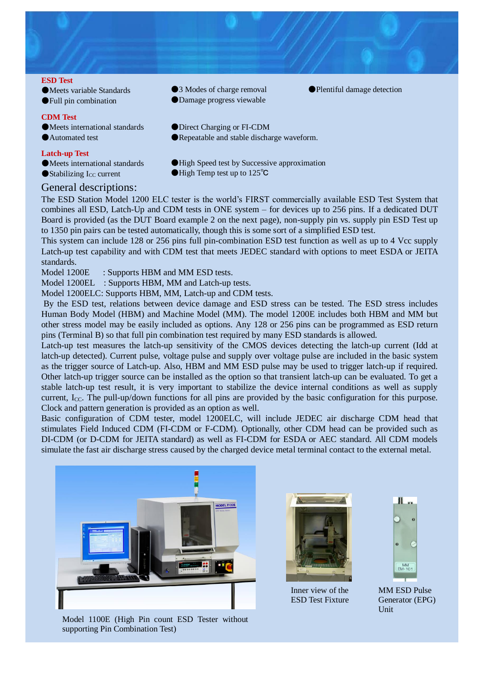

●Meets variable Standards ●Full pin combination

### **CDM Test**

●Meets international standards

●Automated test

### **Latch-up Test**

●Meets international standards

 $\bullet$ Stabilizing I<sub>CC</sub> current

# General descriptions:

●3 Modes of charge removal

- ●Damage progress viewable
- ●Plentiful damage detection
- ●Direct Charging or FI-CDM
- ●Repeatable and stable discharge waveform.
- ●High Speed test by Successive approximation
- ●High Temp test up to 125<sup>°</sup>C

The ESD Station Model 1200 ELC tester is the world's FIRST commercially available ESD Test System that combines all ESD, Latch-Up and CDM tests in ONE system – for devices up to 256 pins. If a dedicated DUT Board is provided (as the DUT Board example 2 on the next page), non-supply pin vs. supply pin ESD Test up to 1350 pin pairs can be tested automatically, though this is some sort of a simplified ESD test.

This system can include 128 or 256 pins full pin-combination ESD test function as well as up to 4 Vcc supply Latch-up test capability and with CDM test that meets JEDEC standard with options to meet ESDA or JEITA standards.

Model 1200E : Supports HBM and MM ESD tests.

Model 1200EL : Supports HBM, MM and Latch-up tests.

Model 1200ELC: Supports HBM, MM, Latch-up and CDM tests.

By the ESD test, relations between device damage and ESD stress can be tested. The ESD stress includes Human Body Model (HBM) and Machine Model (MM). The model 1200E includes both HBM and MM but other stress model may be easily included as options. Any 128 or 256 pins can be programmed as ESD return pins (Terminal B) so that full pin combination test required by many ESD standards is allowed.

Latch-up test measures the latch-up sensitivity of the CMOS devices detecting the latch-up current (Idd at latch-up detected). Current pulse, voltage pulse and supply over voltage pulse are included in the basic system as the trigger source of Latch-up. Also, HBM and MM ESD pulse may be used to trigger latch-up if required. Other latch-up trigger source can be installed as the option so that transient latch-up can be evaluated. To get a stable latch-up test result, it is very important to stabilize the device internal conditions as well as supply current, I<sub>CC</sub>. The pull-up/down functions for all pins are provided by the basic configuration for this purpose. Clock and pattern generation is provided as an option as well.

Basic configuration of CDM tester, model 1200ELC, will include JEDEC air discharge CDM head that stimulates Field Induced CDM (FI-CDM or F-CDM). Optionally, other CDM head can be provided such as DI-CDM (or D-CDM for JEITA standard) as well as FI-CDM for ESDA or AEC standard. All CDM models simulate the fast air discharge stress caused by the charged device metal terminal contact to the external metal.



Model 1100E (High Pin count ESD Tester without supporting Pin Combination Test)



Inner view of the ESD Test Fixture



MM ESD Pulse Generator (EPG) Unit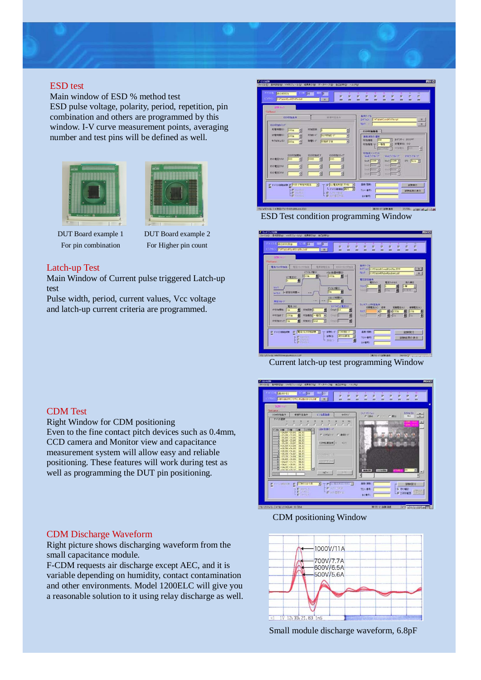

# ESD test

Main window of ESD % method test ESD pulse voltage, polarity, period, repetition, pin combination and others are programmed by this window. I-V curve measurement points, averaging number and test pins will be defined as well.





DUT Board example 1 For pin combination

DUT Board example 2 For Higher pin count

### Latch-up Test

Main Window of Current pulse triggered Latch-up test

Pulse width, period, current values, Vcc voltage and latch-up current criteria are programmed.







Current latch-up test programming Window



CDM positioning Window



Small module discharge waveform, 6.8pF

# CDM Test

Right Window for CDM positioning

Even to the fine contact pitch devices such as 0.4mm, CCD camera and Monitor view and capacitance measurement system will allow easy and reliable positioning. These features will work during test as well as programming the DUT pin positioning.

### CDM Discharge Waveform

Right picture shows discharging waveform from the small capacitance module.

F-CDM requests air discharge except AEC, and it is variable depending on humidity, contact contamination and other environments. Model 1200ELC will give you a reasonable solution to it using relay discharge as well.